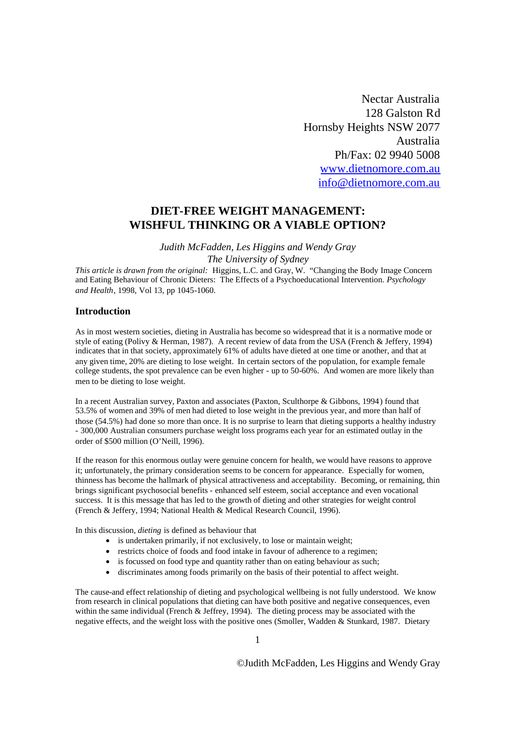Nectar Australia 128 Galston Rd Hornsby Heights NSW 2077 Australia Ph/Fax: 02 9940 5008 www.dietnomore.com.au info@dietnomore.com.au

# **DIET-FREE WEIGHT MANAGEMENT: WISHFUL THINKING OR A VIABLE OPTION?**

*Judith McFadden, Les Higgins and Wendy Gray*

*The University of Sydney*

*This article is drawn from the original:* Higgins, L.C. and Gray, W. "Changing the Body Image Concern and Eating Behaviour of Chronic Dieters: The Effects of a Psychoeducational Intervention. *Psychology and Health*, 1998, Vol 13, pp 1045-1060.

#### **Introduction**

As in most western societies, dieting in Australia has become so widespread that it is a normative mode or style of eating (Polivy & Herman, 1987). A recent review of data from the USA (French & Jeffery, 1994) indicates that in that society, approximately 61% of adults have dieted at one time or another, and that at any given time, 20% are dieting to lose weight. In certain sectors of the population, for example female college students, the spot prevalence can be even higher - up to 50-60%. And women are more likely than men to be dieting to lose weight.

In a recent Australian survey, Paxton and associates (Paxton, Sculthorpe & Gibbons, 1994) found that 53.5% of women and 39% of men had dieted to lose weight in the previous year, and more than half of those (54.5%) had done so more than once. It is no surprise to learn that dieting supports a healthy industry - 300,000 Australian consumers purchase weight loss programs each year for an estimated outlay in the order of \$500 million (O'Neill, 1996).

If the reason for this enormous outlay were genuine concern for health, we would have reasons to approve it; unfortunately, the primary consideration seems to be concern for appearance. Especially for women, thinness has become the hallmark of physical attractiveness and acceptability. Becoming, or remaining, thin brings significant psychosocial benefits - enhanced self esteem, social acceptance and even vocational success. It is this message that has led to the growth of dieting and other strategies for weight control (French & Jeffery, 1994; National Health & Medical Research Council, 1996).

In this discussion, *dieting* is defined as behaviour that

- is undertaken primarily, if not exclusively, to lose or maintain weight;
- restricts choice of foods and food intake in favour of adherence to a regimen;
- is focussed on food type and quantity rather than on eating behaviour as such;
- discriminates among foods primarily on the basis of their potential to affect weight.

The cause-and effect relationship of dieting and psychological wellbeing is not fully understood. We know from research in clinical populations that dieting can have both positive and negative consequences, even within the same individual (French & Jeffrey, 1994). The dieting process may be associated with the negative effects, and the weight loss with the positive ones (Smoller, Wadden & Stunkard, 1987. Dietary

1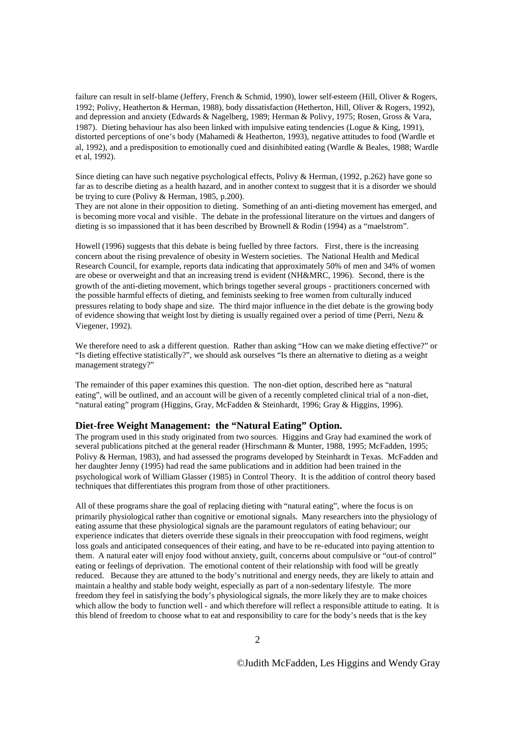failure can result in self-blame (Jeffery, French & Schmid, 1990), lower self-esteem (Hill, Oliver & Rogers, 1992; Polivy, Heatherton & Herman, 1988), body dissatisfaction (Hetherton, Hill, Oliver & Rogers, 1992), and depression and anxiety (Edwards & Nagelberg, 1989; Herman & Polivy, 1975; Rosen, Gross & Vara, 1987). Dieting behaviour has also been linked with impulsive eating tendencies (Logue & King, 1991), distorted perceptions of one's body (Mahamedi & Heatherton, 1993), negative attitudes to food (Wardle et al, 1992), and a predisposition to emotionally cued and disinhibited eating (Wardle & Beales, 1988; Wardle et al, 1992).

Since dieting can have such negative psychological effects, Polivy & Herman, (1992, p.262) have gone so far as to describe dieting as a health hazard, and in another context to suggest that it is a disorder we should be trying to cure (Polivy & Herman, 1985, p.200).

They are not alone in their opposition to dieting. Something of an anti-dieting movement has emerged, and is becoming more vocal and visible. The debate in the professional literature on the virtues and dangers of dieting is so impassioned that it has been described by Brownell & Rodin (1994) as a "maelstrom".

Howell (1996) suggests that this debate is being fuelled by three factors. First, there is the increasing concern about the rising prevalence of obesity in Western societies. The National Health and Medical Research Council, for example, reports data indicating that approximately 50% of men and 34% of women are obese or overweight and that an increasing trend is evident (NH&MRC, 1996). Second, there is the growth of the anti-dieting movement, which brings together several groups - practitioners concerned with the possible harmful effects of dieting, and feminists seeking to free women from culturally induced pressures relating to body shape and size. The third major influence in the diet debate is the growing body of evidence showing that weight lost by dieting is usually regained over a period of time (Perri, Nezu  $\&$ Viegener, 1992).

We therefore need to ask a different question. Rather than asking "How can we make dieting effective?" or "Is dieting effective statistically?", we should ask ourselves "Is there an alternative to dieting as a weight management strategy?"

The remainder of this paper examines this question. The non-diet option, described here as "natural eating", will be outlined, and an account will be given of a recently completed clinical trial of a non-diet, "natural eating" program (Higgins, Gray, McFadden & Steinhardt, 1996; Gray & Higgins, 1996).

# **Diet-free Weight Management: the "Natural Eating" Option.**

The program used in this study originated from two sources. Higgins and Gray had examined the work of several publications pitched at the general reader (Hirschmann & Munter, 1988, 1995; McFadden, 1995; Polivy & Herman, 1983), and had assessed the programs developed by Steinhardt in Texas. McFadden and her daughter Jenny (1995) had read the same publications and in addition had been trained in the psychological work of William Glasser (1985) in Control Theory. It is the addition of control theory based techniques that differentiates this program from those of other practitioners.

All of these programs share the goal of replacing dieting with "natural eating", where the focus is on primarily physiological rather than cognitive or emotional signals. Many researchers into the physiology of eating assume that these physiological signals are the paramount regulators of eating behaviour; our experience indicates that dieters override these signals in their preoccupation with food regimens, weight loss goals and anticipated consequences of their eating, and have to be re-educated into paying attention to them. A natural eater will enjoy food without anxiety, guilt, concerns about compulsive or "out-of control" eating or feelings of deprivation. The emotional content of their relationship with food will be greatly reduced. Because they are attuned to the body's nutritional and energy needs, they are likely to attain and maintain a healthy and stable body weight, especially as part of a non-sedentary lifestyle. The more freedom they feel in satisfying the body's physiological signals, the more likely they are to make choices which allow the body to function well - and which therefore will reflect a responsible attitude to eating. It is this blend of freedom to choose what to eat and responsibility to care for the body's needs that is the key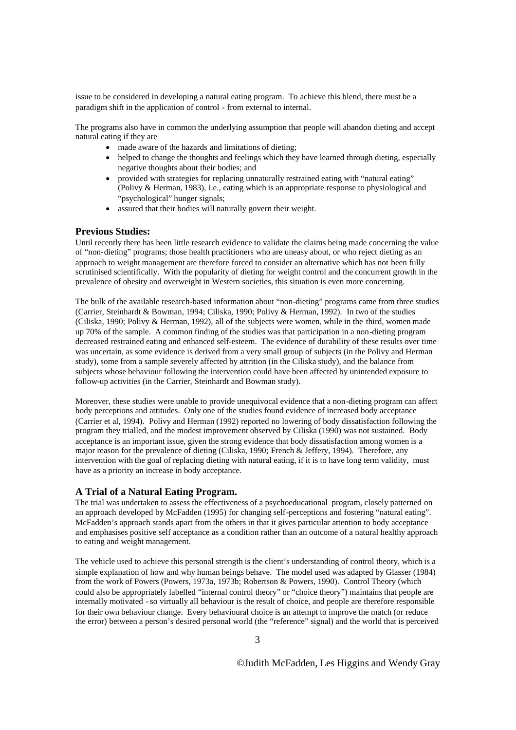issue to be considered in developing a natural eating program. To achieve this blend, there must be a paradigm shift in the application of control - from external to internal.

The programs also have in common the underlying assumption that people will abandon dieting and accept natural eating if they are

- made aware of the hazards and limitations of dieting;
- helped to change the thoughts and feelings which they have learned through dieting, especially negative thoughts about their bodies; and
- provided with strategies for replacing unnaturally restrained eating with "natural eating" (Polivy & Herman, 1983), i.e., eating which is an appropriate response to physiological and "psychological" hunger signals;
- assured that their bodies will naturally govern their weight.

## **Previous Studies:**

Until recently there has been little research evidence to validate the claims being made concerning the value of "non-dieting" programs; those health practitioners who are uneasy about, or who reject dieting as an approach to weight management are therefore forced to consider an alternative which has not been fully scrutinised scientifically. With the popularity of dieting for weight control and the concurrent growth in the prevalence of obesity and overweight in Western societies, this situation is even more concerning.

The bulk of the available research-based information about "non-dieting" programs came from three studies (Carrier, Steinhardt & Bowman, 1994; Ciliska, 1990; Polivy & Herman, 1992). In two of the studies (Ciliska, 1990; Polivy & Herman, 1992), all of the subjects were women, while in the third, women made up 70% of the sample. A common finding of the studies was that participation in a non-dieting program decreased restrained eating and enhanced self-esteem. The evidence of durability of these results over time was uncertain, as some evidence is derived from a very small group of subjects (in the Polivy and Herman study), some from a sample severely affected by attrition (in the Ciliska study), and the balance from subjects whose behaviour following the intervention could have been affected by unintended exposure to follow-up activities (in the Carrier, Steinhardt and Bowman study).

Moreover, these studies were unable to provide unequivocal evidence that a non-dieting program can affect body perceptions and attitudes. Only one of the studies found evidence of increased body acceptance (Carrier et al, 1994). Polivy and Herman (1992) reported no lowering of body dissatisfaction following the program they trialled, and the modest improvement observed by Ciliska (1990) was not sustained. Body acceptance is an important issue, given the strong evidence that body dissatisfaction among women is a major reason for the prevalence of dieting (Ciliska, 1990; French & Jeffery, 1994). Therefore, any intervention with the goal of replacing dieting with natural eating, if it is to have long term validity, must have as a priority an increase in body acceptance.

#### **A Trial of a Natural Eating Program.**

The trial was undertaken to assess the effectiveness of a psychoeducational program, closely patterned on an approach developed by McFadden (1995) for changing self-perceptions and fostering "natural eating". McFadden's approach stands apart from the others in that it gives particular attention to body acceptance and emphasises positive self acceptance as a condition rather than an outcome of a natural healthy approach to eating and weight management.

The vehicle used to achieve this personal strength is the client's understanding of control theory, which is a simple explanation of how and why human beings behave. The model used was adapted by Glasser (1984) from the work of Powers (Powers, 1973a, 1973b; Robertson & Powers, 1990). Control Theory (which could also be appropriately labelled "internal control theory" or "choice theory") maintains that people are internally motivated -so virtually all behaviour is the result of choice, and people are therefore responsible for their own behaviour change. Every behavioural choice is an attempt to improve the match (or reduce the error) between a person's desired personal world (the "reference" signal) and the world that is perceived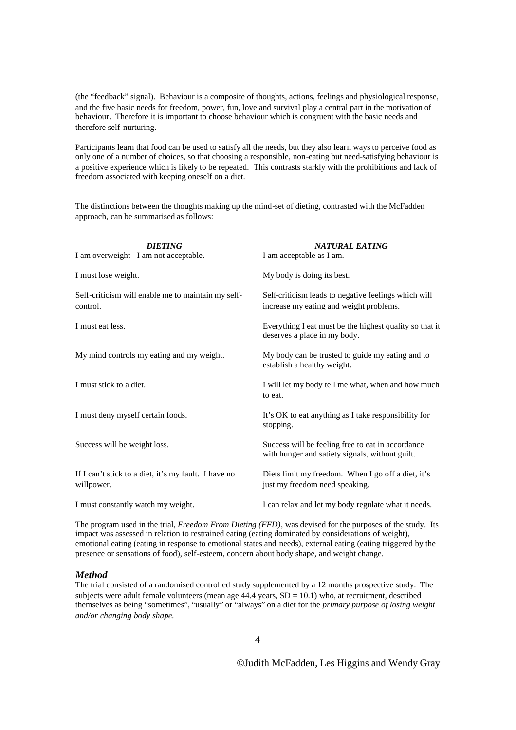(the "feedback" signal). Behaviour is a composite of thoughts, actions, feelings and physiological response, and the five basic needs for freedom, power, fun, love and survival play a central part in the motivation of behaviour. Therefore it is important to choose behaviour which is congruent with the basic needs and therefore self-nurturing.

Participants learn that food can be used to satisfy all the needs, but they also learn ways to perceive food as only one of a number of choices, so that choosing a responsible, non-eating but need-satisfying behaviour is a positive experience which is likely to be repeated. This contrasts starkly with the prohibitions and lack of freedom associated with keeping oneself on a diet.

The distinctions between the thoughts making up the mind-set of dieting, contrasted with the McFadden approach, can be summarised as follows:

| <b>DIETING</b><br>I am overweight - I am not acceptable.           | <b>NATURAL EATING</b><br>I am acceptable as I am.                                                    |
|--------------------------------------------------------------------|------------------------------------------------------------------------------------------------------|
| I must lose weight.                                                | My body is doing its best.                                                                           |
| Self-criticism will enable me to maintain my self-<br>control.     | Self-criticism leads to negative feelings which will<br>increase my eating and weight problems.      |
| I must eat less.                                                   | Everything I eat must be the highest quality so that it<br>deserves a place in my body.              |
| My mind controls my eating and my weight.                          | My body can be trusted to guide my eating and to<br>establish a healthy weight.                      |
| I must stick to a diet.                                            | I will let my body tell me what, when and how much<br>to eat.                                        |
| I must deny myself certain foods.                                  | It's OK to eat anything as I take responsibility for<br>stopping.                                    |
| Success will be weight loss.                                       | Success will be feeling free to eat in accordance<br>with hunger and satiety signals, without guilt. |
| If I can't stick to a diet, it's my fault. I have no<br>willpower. | Diets limit my freedom. When I go off a diet, it's<br>just my freedom need speaking.                 |
| I must constantly watch my weight.                                 | I can relax and let my body regulate what it needs.                                                  |

The program used in the trial, *Freedom From Dieting (FFD)*, was devised for the purposes of the study. Its impact was assessed in relation to restrained eating (eating dominated by considerations of weight), emotional eating (eating in response to emotional states and needs), external eating (eating triggered by the presence or sensations of food), self-esteem, concern about body shape, and weight change.

## *Method*

The trial consisted of a randomised controlled study supplemented by a 12 months prospective study. The subjects were adult female volunteers (mean age  $44.4$  years,  $SD = 10.1$ ) who, at recruitment, described themselves as being "sometimes", "usually" or "always" on a diet for the *primary purpose of losing weight and/or changing body shape.*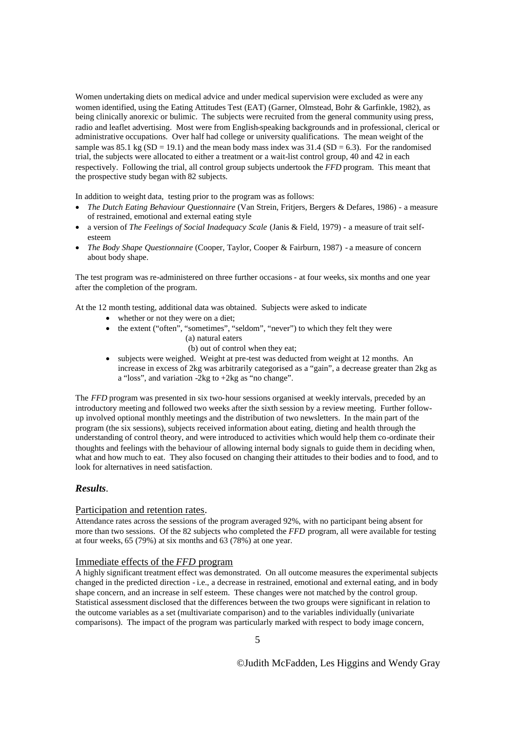Women undertaking diets on medical advice and under medical supervision were excluded as were any women identified, using the Eating Attitudes Test (EAT) (Garner, Olmstead, Bohr & Garfinkle, 1982), as being clinically anorexic or bulimic. The subjects were recruited from the general community using press, radio and leaflet advertising. Most were from English-speaking backgrounds and in professional, clerical or administrative occupations. Over half had college or university qualifications. The mean weight of the sample was 85.1 kg (SD = 19.1) and the mean body mass index was  $31.4$  (SD = 6.3). For the randomised trial, the subjects were allocated to either a treatment or a wait-list control group, 40 and 42 in each respectively. Following the trial, all control group subjects undertook the *FFD* program. This meant that the prospective study began with 82 subjects.

In addition to weight data, testing prior to the program was as follows:

- *The Dutch Eating Behaviour Questionnaire* (Van Strein, Fritjers, Bergers & Defares, 1986) a measure of restrained, emotional and external eating style
- a version of *The Feelings of Social Inadequacy Scale* (Janis & Field, 1979) a measure of trait selfesteem
- *The Body Shape Questionnaire* (Cooper, Taylor, Cooper & Fairburn, 1987) a measure of concern about body shape.

The test program was re-administered on three further occasions - at four weeks, six months and one year after the completion of the program.

At the 12 month testing, additional data was obtained. Subjects were asked to indicate

- whether or not they were on a diet;
- the extent ("often", "sometimes", "seldom", "never") to which they felt they were (a) natural eaters

(b) out of control when they eat;

 subjects were weighed. Weight at pre-test was deducted from weight at 12 months. An increase in excess of 2kg was arbitrarily categorised as a "gain", a decrease greater than 2kg as a "loss", and variation -2kg to +2kg as "no change".

The *FFD* program was presented in six two-hour sessions organised at weekly intervals, preceded by an introductory meeting and followed two weeks after the sixth session by a review meeting. Further followup involved optional monthly meetings and the distribution of two newsletters. In the main part of the program (the six sessions), subjects received information about eating, dieting and health through the understanding of control theory, and were introduced to activities which would help them co-ordinate their thoughts and feelings with the behaviour of allowing internal body signals to guide them in deciding when, what and how much to eat. They also focused on changing their attitudes to their bodies and to food, and to look for alternatives in need satisfaction.

# *Results*.

#### Participation and retention rates.

Attendance rates across the sessions of the program averaged 92%, with no participant being absent for more than two sessions. Of the 82 subjects who completed the *FFD* program, all were available for testing at four weeks, 65 (79%) at six months and 63 (78%) at one year.

## Immediate effects of the *FFD* program

A highly significant treatment effect was demonstrated. On all outcome measures the experimental subjects changed in the predicted direction - i.e., a decrease in restrained, emotional and external eating, and in body shape concern, and an increase in self esteem. These changes were not matched by the control group. Statistical assessment disclosed that the differences between the two groups were significant in relation to the outcome variables as a set (multivariate comparison) and to the variables individually (univariate comparisons). The impact of the program was particularly marked with respect to body image concern,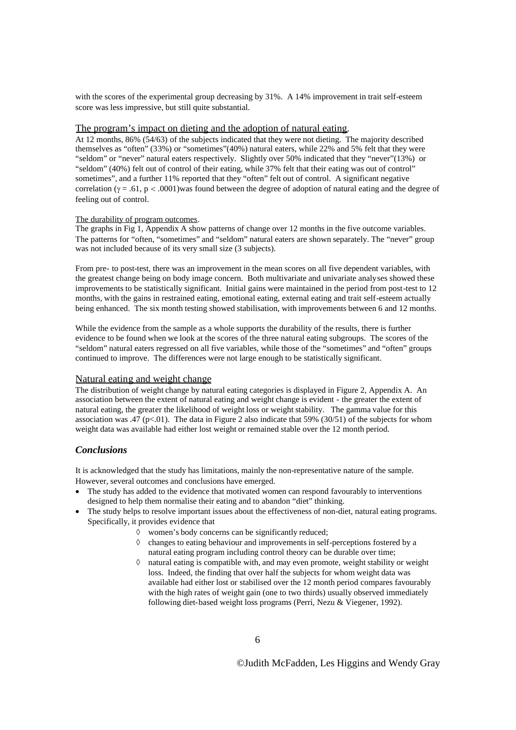with the scores of the experimental group decreasing by 31%. A 14% improvement in trait self-esteem score was less impressive, but still quite substantial.

# The program's impact on dieting and the adoption of natural eating.

At 12 months, 86% (54/63) of the subjects indicated that they were not dieting. The majority described themselves as "often" (33%) or "sometimes"(40%) natural eaters, while 22% and 5% felt that they were "seldom" or "never" natural eaters respectively. Slightly over 50% indicated that they "never"(13%) or "seldom" (40%) felt out of control of their eating, while 37% felt that their eating was out of control" sometimes", and a further 11% reported that they "often" felt out of control. A significant negative correlation ( $\gamma = .61$ , p < .0001) was found between the degree of adoption of natural eating and the degree of feeling out of control.

#### The durability of program outcomes.

The graphs in Fig 1, Appendix A show patterns of change over 12 months in the five outcome variables. The patterns for "often, "sometimes" and "seldom" natural eaters are shown separately. The "never" group was not included because of its very small size  $(3 \text{ subjects})$ .

From pre- to post-test, there was an improvement in the mean scores on all five dependent variables, with the greatest change being on body image concern. Both multivariate and univariate analyses showed these improvements to be statistically significant. Initial gains were maintained in the period from post-test to 12 months, with the gains in restrained eating, emotional eating, external eating and trait self-esteem actually being enhanced. The six month testing showed stabilisation, with improvements between 6 and 12 months.

While the evidence from the sample as a whole supports the durability of the results, there is further evidence to be found when we look at the scores of the three natural eating subgroups. The scores of the "seldom" natural eaters regressed on all five variables, while those of the "sometimes" and "often" groups continued to improve. The differences were not large enough to be statistically significant.

#### Natural eating and weight change

The distribution of weight change by natural eating categories is displayed in Figure 2, Appendix A. An association between the extent of natural eating and weight change is evident - the greater the extent of natural eating, the greater the likelihood of weight loss or weight stability. The gamma value for this association was .47 (p<.01). The data in Figure 2 also indicate that 59% (30/51) of the subjects for whom weight data was available had either lost weight or remained stable over the 12 month period.

## *Conclusions*

It is acknowledged that the study has limitations, mainly the non-representative nature of the sample. However, several outcomes and conclusions have emerged.

- The study has added to the evidence that motivated women can respond favourably to interventions designed to help them normalise their eating and to abandon "diet" thinking.
- The study helps to resolve important issues about the effectiveness of non-diet, natural eating programs. Specifically, it provides evidence that
	- women's body concerns can be significantly reduced;
	- $\Diamond$  changes to eating behaviour and improvements in self-perceptions fostered by a natural eating program including control theory can be durable over time;
	- $\Diamond$  natural eating is compatible with, and may even promote, weight stability or weight loss. Indeed, the finding that over half the subjects for whom weight data was available had either lost or stabilised over the 12 month period compares favourably with the high rates of weight gain (one to two thirds) usually observed immediately following diet-based weight loss programs (Perri, Nezu & Viegener, 1992).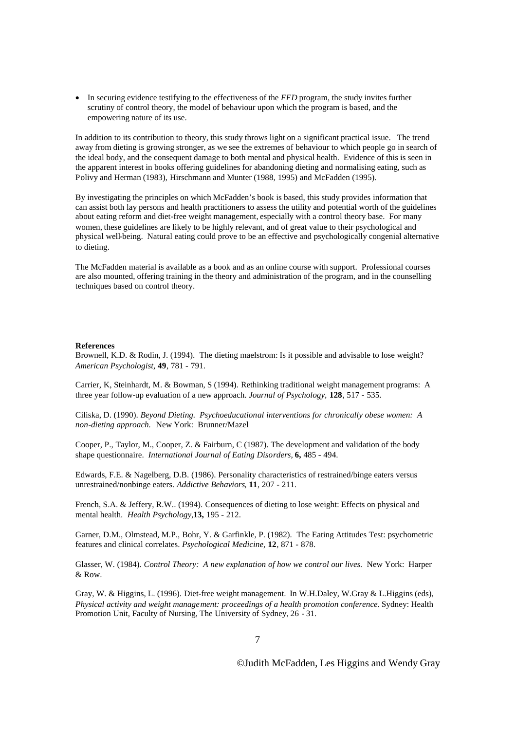In securing evidence testifying to the effectiveness of the *FFD* program, the study invites further scrutiny of control theory, the model of behaviour upon which the program is based, and the empowering nature of its use.

In addition to its contribution to theory, this study throws light on a significant practical issue. The trend away from dieting is growing stronger, as we see the extremes of behaviour to which people go in search of the ideal body, and the consequent damage to both mental and physical health. Evidence of this is seen in the apparent interest in books offering guidelines for abandoning dieting and normalising eating, such as Polivy and Herman (1983), Hirschmann and Munter (1988, 1995) and McFadden (1995).

By investigating the principles on which McFadden's book is based, this study provides information that can assist both lay persons and health practitioners to assess the utility and potential worth of the guidelines about eating reform and diet-free weight management, especially with a control theory base. For many women, these guidelines are likely to be highly relevant, and of great value to their psychological and physical well-being. Natural eating could prove to be an effective and psychologically congenial alternative to dieting.

The McFadden material is available as a book and as an online course with support. Professional courses are also mounted, offering training in the theory and administration of the program, and in the counselling techniques based on control theory.

#### **References**

Brownell, K.D. & Rodin, J. (1994). The dieting maelstrom: Is it possible and advisable to lose weight? *American Psychologist,* **49**, 781 - 791.

Carrier, K, Steinhardt, M. & Bowman, S (1994). Rethinking traditional weight management programs: A three year follow-up evaluation of a new approach. *Journal of Psychology,* **128**, 517 - 535.

Ciliska, D. (1990). *Beyond Dieting. Psychoeducational interventions for chronically obese women: A non-dieting approach.* New York: Brunner/Mazel

Cooper, P., Taylor, M., Cooper, Z. & Fairburn, C (1987). The development and validation of the body shape questionnaire. *International Journal of Eating Disorders,* **6,** 485 - 494.

Edwards, F.E. & Nagelberg, D.B. (1986). Personality characteristics of restrained/binge eaters versus unrestrained/nonbinge eaters. *Addictive Behaviors*, **11**, 207 - 211.

French, S.A. & Jeffery, R.W.. (1994). Consequences of dieting to lose weight: Effects on physical and mental health. *Health Psychology,***13,** 195 - 212.

Garner, D.M., Olmstead, M.P., Bohr, Y. & Garfinkle, P. (1982). The Eating Attitudes Test: psychometric features and clinical correlates. *Psychological Medicine,* **12**, 871 - 878.

Glasser, W. (1984). *Control Theory: A new explanation of how we control our lives.* New York: Harper & Row.

Gray, W. & Higgins, L. (1996). Diet-free weight management. In W.H.Daley, W.Gray & L.Higgins (eds), *Physical activity and weight management: proceedings of a health promotion conference.* Sydney: Health Promotion Unit, Faculty of Nursing, The University of Sydney, 26 - 31.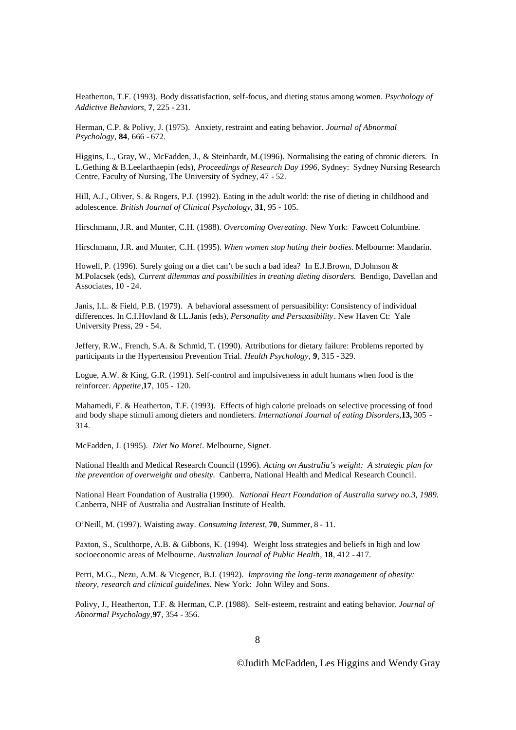Heatherton, T.F. (1993). Body dissatisfaction, self-focus, and dieting status among women. *Psychology of Addictive Behaviors,* **7**, 225 - 231.

Herman, C.P. & Polivy, J. (1975). Anxiety, restraint and eating behavior. *Journal of Abnormal Psychology*, **84**, 666 - 672.

Higgins, L., Gray, W., McFadden, J., & Steinhardt, M.(1996). Normalising the eating of chronic dieters. In L.Gething & B.Leelarthaepin (eds), *Proceedings of Research Day 1996,* Sydney: Sydney Nursing Research Centre, Faculty of Nursing, The University of Sydney, 47 - 52.

Hill, A.J., Oliver, S. & Rogers, P.J. (1992). Eating in the adult world: the rise of dieting in childhood and adolescence. *British Journal of Clinical Psychology*, **31**, 95 - 105.

Hirschmann, J.R. and Munter, C.H. (1988). *Overcoming Overeating.* New York: Fawcett Columbine.

Hirschmann, J.R. and Munter, C.H. (1995). *When women stop hating their bodies.* Melbourne: Mandarin.

Howell, P. (1996). Surely going on a diet can't be such a bad idea? In E.J.Brown, D.Johnson & M.Polacsek (eds), *Current dilemmas and possibilities in treating dieting disorders*. Bendigo, Davellan and Associates, 10 - 24.

Janis, I.L. & Field, P.B. (1979). A behavioral assessment of persuasibility: Consistency of individual differences. In C.I.Hovland & I.L.Janis (eds), *Personality and Persuasibility*. New Haven Ct: Yale University Press, 29 - 54.

Jeffery, R.W., French, S.A. & Schmid, T. (1990). Attributions for dietary failure: Problems reported by participants in the Hypertension Prevention Trial. *Health Psychology,* **9**, 315 - 329.

Logue, A.W. & King, G.R. (1991). Self-control and impulsiveness in adult humans when food is the reinforcer. *Appetite*,**17**, 105 - 120.

Mahamedi, F. & Heatherton, T.F. (1993). Effects of high calorie preloads on selective processing of food and body shape stimuli among dieters and nondieters. *International Journal of eating Disorders,***13,** 305 - 314.

McFadden, J. (1995). *Diet No More!*. Melbourne, Signet.

National Health and Medical Research Council (1996). *Acting on Australia's weight: A strategic plan for the prevention of overweight and obesity.* Canberra, National Health and Medical Research Council.

National Heart Foundation of Australia (1990). *National Heart Foundation of Australia survey no.3, 1989.* Canberra, NHF of Australia and Australian Institute of Health.

O'Neill, M. (1997). Waisting away. *Consuming Interest,* **70**, Summer, 8 - 11.

Paxton, S., Sculthorpe, A.B. & Gibbons, K. (1994). Weight loss strategies and beliefs in high and low socioeconomic areas of Melbourne. *Australian Journal of Public Health*, **18**, 412 - 417.

Perri, M.G., Nezu, A.M. & Viegener, B.J. (1992). *Improving the long-term management of obesity: theory, research and clinical guidelines.* New York: John Wiley and Sons.

Polivy, J., Heatherton, T.F. & Herman, C.P. (1988). Self-esteem, restraint and eating behavior. *Journal of Abnormal Psychology,***97**, 354 - 356.

8